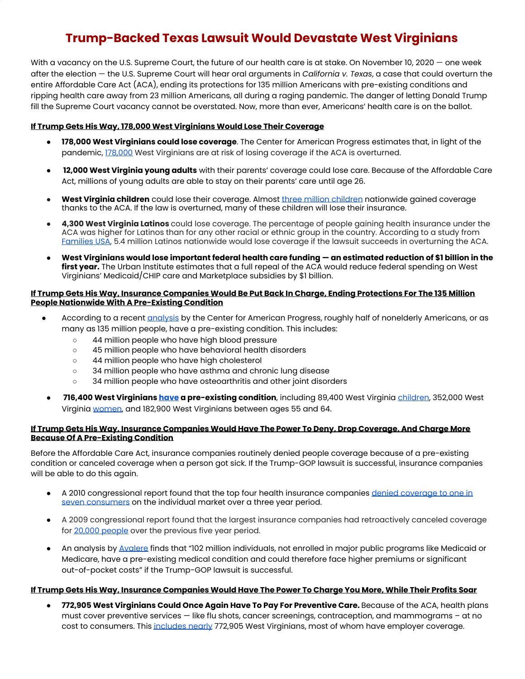# **Trump-Backed Texas Lawsuit Would Devastate West Virginians**

With a vacancy on the U.S. Supreme Court, the future of our health care is at stake. On November 10, 2020 – one week after the election — the U.S. Supreme Court will hear oral arguments in *California v. Texas*, a case that could overturn the entire Affordable Care Act (ACA), ending its protections for 135 million Americans with pre-existing conditions and ripping health care away from 23 million Americans, all during a raging pandemic. The danger of letting Donald Trump fill the Supreme Court vacancy cannot be overstated. Now, more than ever, Americans' health care is on the ballot.

# **If Trump Gets His Way, 178,000 West Virginians Would Lose Their Coverage**

- **178,000 West Virginians could lose coverage**. The Center for American Progress estimates that, in light of the pandemic, [178,000](https://www.americanprogress.org/issues/healthcare/news/2020/06/24/486768/health-care-repeal-lawsuit-strip-coverage-23-million-americans/) West Virginians are at risk of losing coverage if the ACA is overturned.
- **12,000 West Virginia young adults** with their parents' coverage could lose care. Because of the Affordable Care Act, millions of young adults are able to stay on their parents' care until age 26.
- **West Virginia [children](https://drive.google.com/file/d/1IXhNKRrn4Y-FlAj4DzM657aW_4W5W42A/view)** could lose their coverage. Almost three million children nationwide gained coverage thanks to the ACA. If the law is overturned, many of these children will lose their insurance.
- **4,300 West Virginia Latinos** could lose coverage. The percentage of people gaining health insurance under the ACA was higher for Latinos than for any other racial or ethnic group in the country. According to a study from [Families](https://drive.google.com/file/d/1HU3SB4IC8nnvArfSHH-aQ68RID_Q7hz9/view) USA, 5.4 million Latinos nationwide would lose coverage if the lawsuit succeeds in overturning the ACA.
- West Virginians would lose important federal health care funding an estimated reduction of \$1 billion in the **first year.** The Urban Institute estimates that a full repeal of the ACA would reduce federal spending on West Virginians' Medicaid/CHIP care and Marketplace subsidies by \$1 billion.

## <u>If Trump Gets His Way, Insurance Companies Would Be Put Back In Charae, Endina Protections For The 135 Million</u> **People Nationwide With A Pre-Existing Condition**

- According to a recent [analysis](https://www.americanprogress.org/issues/healthcare/news/2017/04/05/430059/number-americans-pre-existing-conditions-congressional-district/) by the Center for American Progress, roughly half of nonelderly Americans, or as many as 135 million people, have a pre-existing condition. This includes:
	- 44 million people who have high blood pressure
	- 45 million people who have behavioral health disorders
	- 44 million people who have high cholesterol
	- 34 million people who have asthma and chronic lung disease
	- 34 million people who have osteoarthritis and other joint disorders
	- **716,400 West Virginians [have](https://www.americanprogress.org/issues/healthcare/news/2019/10/02/475030/number-americans-preexisting-conditions-district-116th-congress/) a pre-existing condition**, including 89,400 West Virginia [children,](https://www.americanprogress.org/issues/healthcare/news/2019/10/02/475030/number-americans-preexisting-conditions-district-116th-congress/) 352,000 West Virginia [women](https://www.americanprogress.org/issues/women/news/2019/11/04/476643/moving-backward-2/), and 182,900 West Virginians between ages 55 and 64.

#### If Trump Gets His Way, Insurance Companies Would Have The Power To Deny, Drop Coverage, And Charge More **Because Of A Pre-Existing Condition**

Before the Affordable Care Act, insurance companies routinely denied people coverage because of a pre-existing condition or canceled coverage when a person got sick. If the Trump-GOP lawsuit is successful, insurance companies will be able to do this again.

- A 2010 congressional report found that the top four health insurance companies denied [coverage](https://www.propublica.org/article/insurers-denied-health-coverage-to-1-in-7-people-citing-pre-existing-condit) to one in seven [consumers](https://www.propublica.org/article/insurers-denied-health-coverage-to-1-in-7-people-citing-pre-existing-condit) on the individual market over a three year period.
- A 2009 congressional report found that the largest insurance companies had retroactively canceled coverage for 20,000 [people](https://www.gpo.gov/fdsys/pkg/CHRG-111hhrg73743/html/CHRG-111hhrg73743.htm) over the previous five year period.
- **●** An analysis by [Avalere](http://avalere.com/expertise/managed-care/insights/repeal-of-affordable-care-acts-pre-existing-condition-protections-could-aff) finds that "102 million individuals, not enrolled in major public programs like Medicaid or Medicare, have a pre-existing medical condition and could therefore face higher premiums or significant out-of-pocket costs" if the Trump-GOP lawsuit is successful.

#### <u>If Trump Gets His Way, Insurance Companies Would Have The Power To Charge You More, While Their Profits Soar</u>

**● 772,905 West Virginians Could Once Again Have To Pay For Preventive Care.** Because of the ACA, health plans must cover preventive services — like flu shots, cancer screenings, contraception, and mammograms – at no cost to consumers. This [includes](https://aspe.hhs.gov/compilation-state-data-affordable-care-act) nearly 772,905 West Virginians, most of whom have employer coverage.